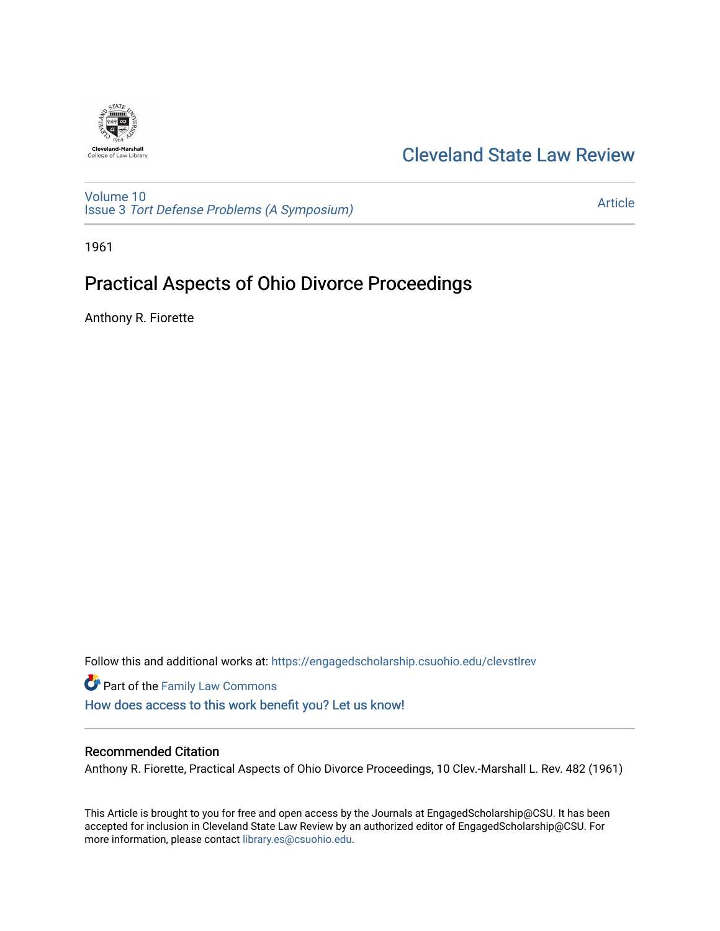

## [Cleveland State Law Review](https://engagedscholarship.csuohio.edu/clevstlrev)

[Volume 10](https://engagedscholarship.csuohio.edu/clevstlrev/vol10) Issue 3 [Tort Defense Problems \(A Symposium\)](https://engagedscholarship.csuohio.edu/clevstlrev/vol10/iss3)

[Article](https://engagedscholarship.csuohio.edu/clevstlrev/vol10/iss3/13) 

1961

# Practical Aspects of Ohio Divorce Proceedings

Anthony R. Fiorette

Follow this and additional works at: [https://engagedscholarship.csuohio.edu/clevstlrev](https://engagedscholarship.csuohio.edu/clevstlrev?utm_source=engagedscholarship.csuohio.edu%2Fclevstlrev%2Fvol10%2Fiss3%2F13&utm_medium=PDF&utm_campaign=PDFCoverPages)

Part of the [Family Law Commons](http://network.bepress.com/hgg/discipline/602?utm_source=engagedscholarship.csuohio.edu%2Fclevstlrev%2Fvol10%2Fiss3%2F13&utm_medium=PDF&utm_campaign=PDFCoverPages)  [How does access to this work benefit you? Let us know!](http://library.csuohio.edu/engaged/)

### Recommended Citation

Anthony R. Fiorette, Practical Aspects of Ohio Divorce Proceedings, 10 Clev.-Marshall L. Rev. 482 (1961)

This Article is brought to you for free and open access by the Journals at EngagedScholarship@CSU. It has been accepted for inclusion in Cleveland State Law Review by an authorized editor of EngagedScholarship@CSU. For more information, please contact [library.es@csuohio.edu](mailto:library.es@csuohio.edu).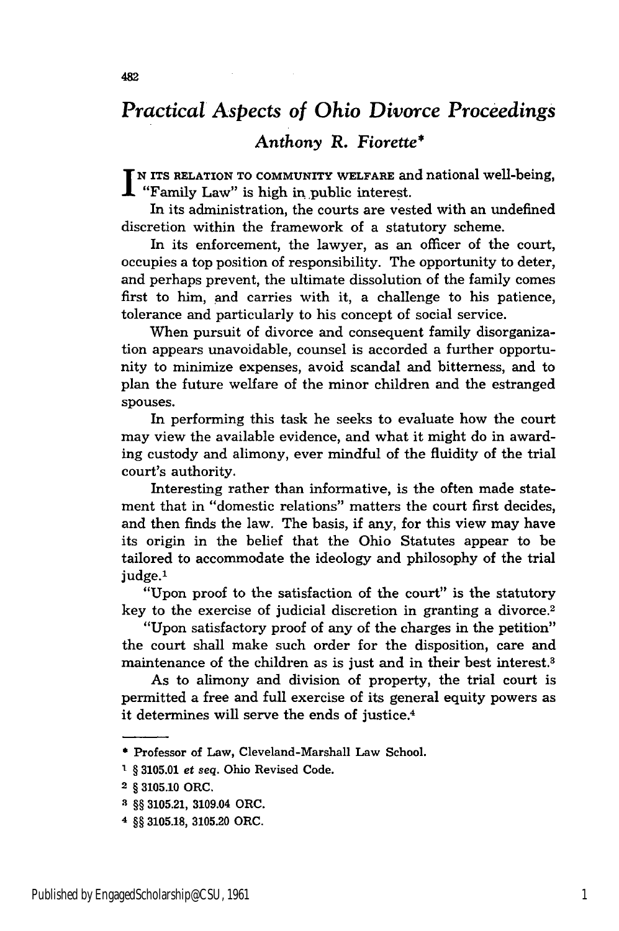## *Practical Aspects of Ohio Divorce Proceedings*

### *Anthony R. Fiorette\**

**N ITS RELATION TO COMMUNITY WELFARE** and national well-being, "Family Law" is high in public interest.

In its administration, the courts are vested with an undefined discretion within the framework of a statutory scheme.

In its enforcement, the lawyer, as an officer of the court, occupies a top position of responsibility. The opportunity to deter, and perhaps prevent, the ultimate dissolution of the family comes first to him, and carries with it, a challenge to his patience, tolerance and particularly to his concept of social service.

When pursuit of divorce and consequent family disorganization appears unavoidable, counsel is accorded a further opportunity to minimize expenses, avoid scandal and bitterness, and to plan the future welfare of the minor children and the estranged spouses.

In performing this task he seeks to evaluate how the court may view the available evidence, and what it might do in awarding custody and alimony, ever mindful of the fluidity of the trial court's authority.

Interesting rather than informative, is the often made statement that in "domestic relations" matters the court first decides, and then finds the law. The basis, if any, for this view may have its origin in the belief that the Ohio Statutes appear to be tailored to accommodate the ideology and philosophy of the trial judge.<sup>1</sup>

"Upon proof to the satisfaction of the court" is the statutory key to the exercise of judicial discretion in granting a divorce.<sup>2</sup>

"Upon satisfactory proof of any of the charges in the petition" the court shall make such order for the disposition, care and maintenance of the children as is just and in their best interest.3

As to alimony and division of property, the trial court is permitted a free and full exercise of its general equity powers as it determines will serve the ends of justice.<sup>4</sup>

<sup>\*</sup>Professor of Law, Cleveland-Marshall Law School.

<sup>&#</sup>x27; § **3105.01** *et seq.* Ohio Revised Code.

<sup>2 §</sup> **3105.10** ORC.

**i §§ 3105.21,** 3109.04 ORC.

**<sup>4 §§ 3105.18, 3105.20</sup>** ORC.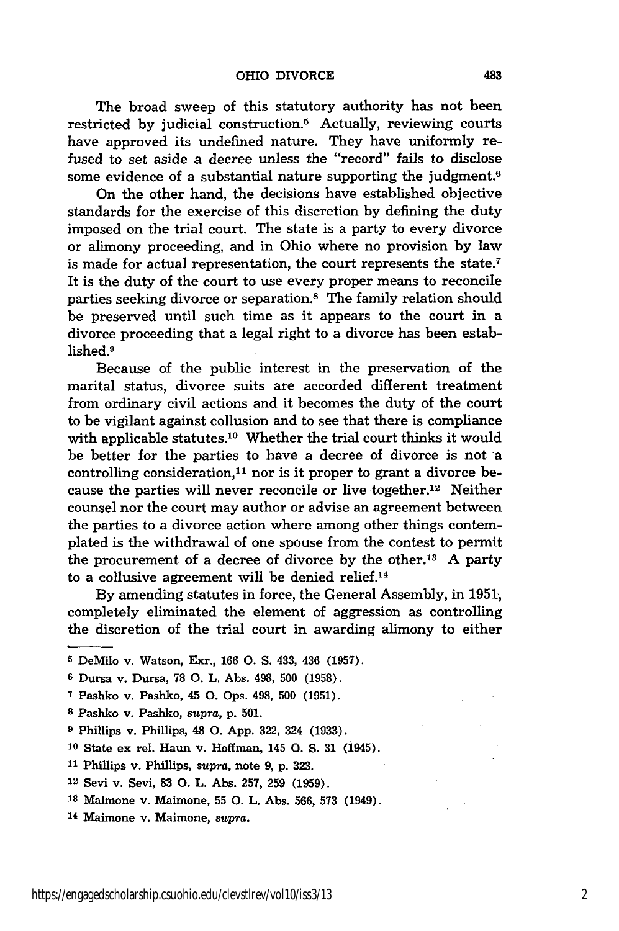The broad sweep of this statutory authority has not been restricted by judicial construction.<sup>5</sup> Actually, reviewing courts have approved its undefined nature. They have uniformly refused to set aside a decree unless the "record" fails to disclose some evidence of a substantial nature supporting the judgment.<sup>6</sup>

On the other hand, the decisions have established objective standards for the exercise of this discretion by defining the duty imposed on the trial court. The state is a party to every divorce or alimony proceeding, and in Ohio where no provision by law is made for actual representation, the court represents the state.<sup>7</sup> It is the duty of the court to use every proper means to reconcile parties seeking divorce or separation.8 The family relation should be preserved until such time as it appears to the court in a divorce proceeding that a legal right to a divorce has been established.9

Because of the public interest in the preservation of the marital status, divorce suits are accorded different treatment from ordinary civil actions and it becomes the duty of the court to be vigilant against collusion and to see that there is compliance with applicable statutes.<sup>10</sup> Whether the trial court thinks it would be better for the parties to have a decree of divorce is not a controlling consideration, $^{11}$  nor is it proper to grant a divorce because the parties will never reconcile or live together. 12 Neither counsel nor the court may author or advise an agreement between the parties to a divorce action where among other things contemplated is the withdrawal of one spouse from the contest to permit the procurement of a decree of divorce **by** the other.13 **A** party to a collusive agreement will be denied relief.<sup>14</sup>

By amending statutes in force, the General Assembly, in 1951, completely eliminated the element of aggression as controlling the discretion of the trial court in awarding alimony to either

- **5** DeMilo v. Watson, Exr., 166 **0.** S. 433, 436 (1957).
- **<sup>6</sup>**Dursa v. Dursa, **78 0.** L. Abs. 498, **500** (1958).
- **<sup>7</sup>**Pashko v. Pashko, 45 **0.** Ops. 498, **500** (1951).
- **8** Pashko v. Pashko, *supra,* p. 501.
- **<sup>9</sup>**Phillips v. Phillips, 48 **0.** App. 322, 324 (1933).
- **<sup>10</sup>**State ex rel. Haun v. Hoffman, 145 **0.** S. 31 (1945).
- **<sup>11</sup>**Phillips v. Phillips, *supra,* note 9, p. **323.**
- 12 Sevi v. Sevi, **83 0.** L. Abs. 257, 259 (1959).
- **<sup>13</sup>**Maimone v. Maimone, **55 0.** L. Abs. 566, **573** (1949).
- 14 Maimone v. Maimone, *supra.*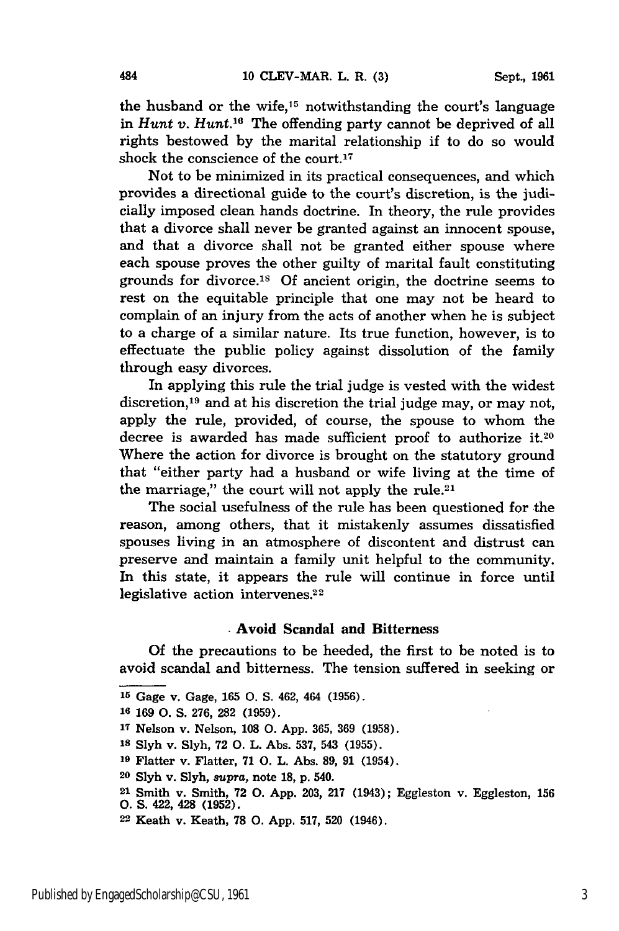the husband or the wife,15 notwithstanding the court's language in *Hunt v. Hunt.16* The offending party cannot be deprived of all rights bestowed by the marital relationship if to do so would shock the conscience of the court.<sup>17</sup>

Not to be minimized in its practical consequences, and which provides a directional guide to the court's discretion, is the judicially imposed clean hands doctrine. In theory, the rule provides that a divorce shall never be granted against an innocent spouse, and that a divorce shall not be granted either spouse where each spouse proves the other guilty of marital fault constituting grounds for divorce.<sup>18</sup> Of ancient origin, the doctrine seems to rest on the equitable principle that one may not be heard to complain of an injury from the acts of another when he is subject to a charge of a similar nature. Its true function, however, is to effectuate the public policy against dissolution of the family through easy divorces.

In applying this rule the trial judge is vested with the widest discretion,<sup>19</sup> and at his discretion the trial judge may, or may not, apply the rule, provided, of course, the spouse to whom the decree is awarded has made sufficient proof to authorize it.20 Where the action for divorce is brought on the statutory ground that "either party had a husband or wife living at the time of the marriage," the court will not apply the rule.<sup>21</sup>

The social usefulness of the rule has been questioned for the reason, among others, that it mistakenly assumes dissatisfied spouses living in an atmosphere of discontent and distrust can preserve and maintain a family unit helpful to the community. In this state, it appears the rule will continue in force until legislative action intervenes.<sup>22</sup>

#### Avoid Scandal and **Bitterness**

Of the precautions to be heeded, the first to be noted is to avoid scandal and bitterness. The tension suffered in seeking or

- **Is** Slyh v. Slyh, 72 **0.** L. Abs. 537, 543 (1955).
- *<sup>19</sup>*Flatter v. Flatter, **71 0.** L. Abs. **89,** 91 (1954).
- **<sup>20</sup>**Slyh v. Slyh, *supra,* note **18,** p. 540.
- **<sup>21</sup>**Smith v. Smith, **72 0.** App. 203, 217 (1943); Eggleston v. Eggleston, **156**

**22** Keath v. Keath, **78 0.** App. 517, **520** (1946).

**<sup>15</sup>**Gage v. Gage, 165 **0.** S. 462, 464 (1956).

**<sup>16</sup>**169 **0.** S. 276, **282** (1959).

**<sup>17</sup>**Nelson v. Nelson, **108 0.** App. 365, 369 (1958).

**<sup>0.</sup>** S. 422, 428 **(1952).**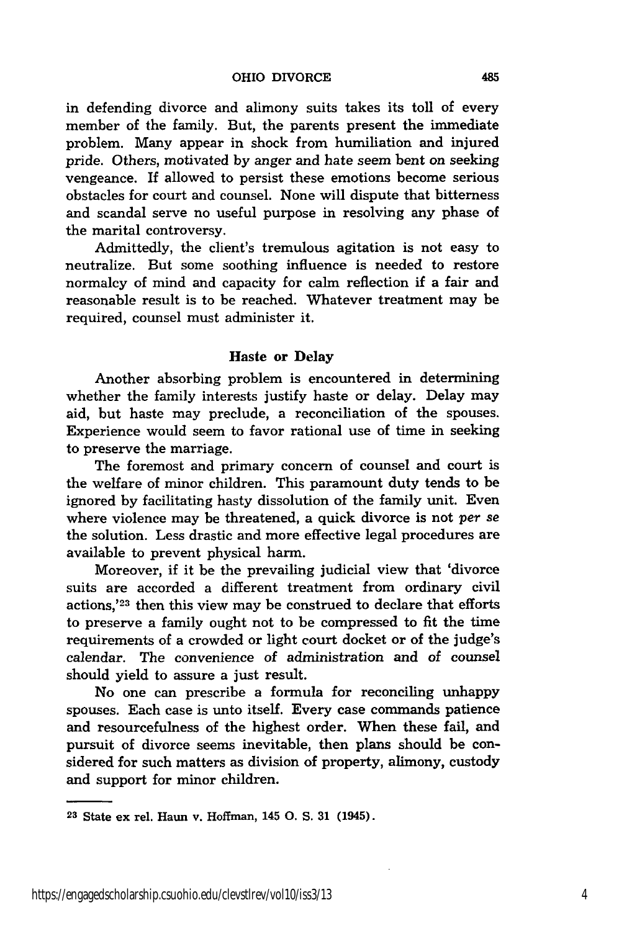in defending divorce and alimony suits takes its toll of every member of the family. But, the parents present the immediate problem. Many appear in shock from humiliation and injured pride. Others, motivated by anger and hate seem bent on seeking vengeance. If allowed to persist these emotions become serious obstacles for court and counsel. None will dispute that bitterness and scandal serve no useful purpose in resolving any phase of the marital controversy.

Admittedly, the client's tremulous agitation is not easy to neutralize. But some soothing influence is needed to restore normalcy of mind and capacity for calm reflection if a fair and reasonable result is to be reached. Whatever treatment may be required, counsel must administer it.

#### Haste or Delay

Another absorbing problem is encountered in determining whether the family interests justify haste or delay. Delay may aid, but haste may preclude, a reconciliation of the spouses. Experience would seem to favor rational use of time in seeking to preserve the marriage.

The foremost and primary concern of counsel and court is the welfare of minor children. This paramount duty tends to be ignored **by** facilitating hasty dissolution of the family unit. Even where violence may be threatened, a quick divorce is not per *se* the solution. Less drastic and more effective legal procedures are available to prevent physical harm.

Moreover, if it be the prevailing judicial view that 'divorce suits are accorded a different treatment from ordinary civil actions,'<sup>23</sup> then this view may be construed to declare that efforts to preserve a family ought not to be compressed to fit the time requirements of a crowded or light court docket or of the judge's calendar. The convenience of administration and of counsel should yield to assure a just result.

No one can prescribe a formula for reconciling unhappy spouses. Each case is unto itself. Every case commands patience and resourcefulness of the highest order. When these fail, and pursuit of divorce seems inevitable, then plans should be considered for such matters as division of property, alimony, custody and support for minor children.

**<sup>23</sup>**State ex rel. Haun v. Hoffman, 145 **0.** S. **31** (1945).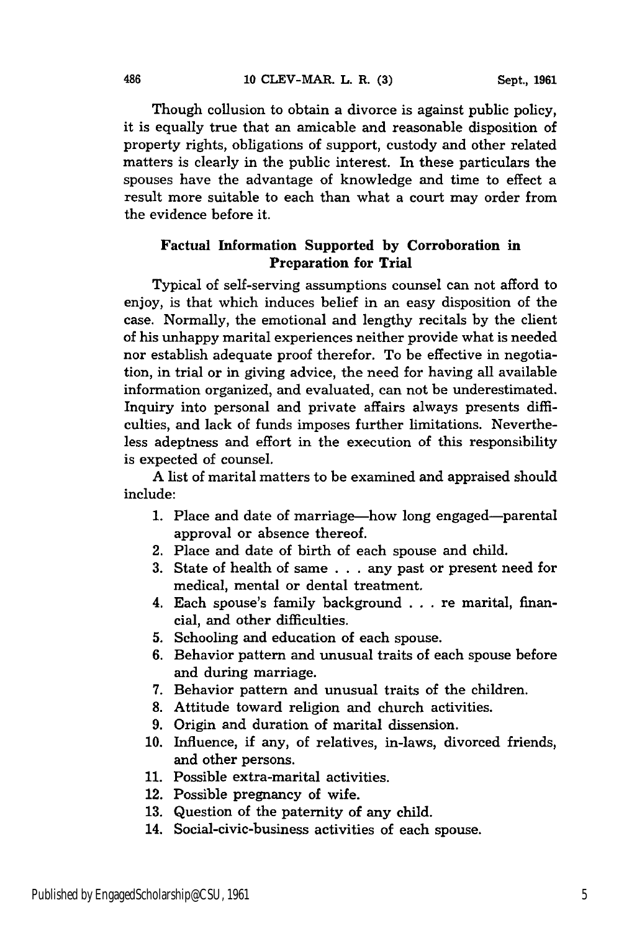Though collusion to obtain a divorce is against public policy, it is equally true that an amicable and reasonable disposition of property rights, obligations of support, custody and other related matters is clearly in the public interest. In these particulars the spouses have the advantage of knowledge and time to effect a result more suitable to each than what a court may order from the evidence before it.

#### Factual Information **Supported by Corroboration in Preparation for Trial**

Typical of self-serving assumptions counsel can not afford to enjoy, is that which induces belief in an easy disposition of the case. Normally, the emotional and lengthy recitals by the client of his unhappy marital experiences neither provide what is needed nor establish adequate proof therefor. To be effective in negotiation, in trial or in giving advice, the need for having all available information organized, and evaluated, can not be underestimated. Inquiry into personal and private affairs always presents difficulties, and lack of funds imposes further limitations. Nevertheless adeptness and effort in the execution of this responsibility is expected of counsel.

A list of marital matters to be examined and appraised should include:

- 1. Place and date of marriage—how long engaged—parental approval or absence thereof.
- 2. Place and date of birth of each spouse and child.
- 3. State of health of same . . . any past or present need for medical, mental or dental treatment.
- 4. Each spouse's family background . . . re marital, financial, and other difficulties.
- **5.** Schooling and education of each spouse.
- 6. Behavior pattern and unusual traits of each spouse before and during marriage.
- 7. Behavior pattern and unusual traits of the children.
- 8. Attitude toward religion and church activities.
- 9. Origin and duration of marital dissension.
- 10. Influence, if any, of relatives, in-laws, divorced friends, and other persons.
- **11.** Possible extra-marital activities.
- 12. Possible pregnancy of wife.
- 13. Question of the paternity of any child.
- 14. Social-civic-business activities of each spouse.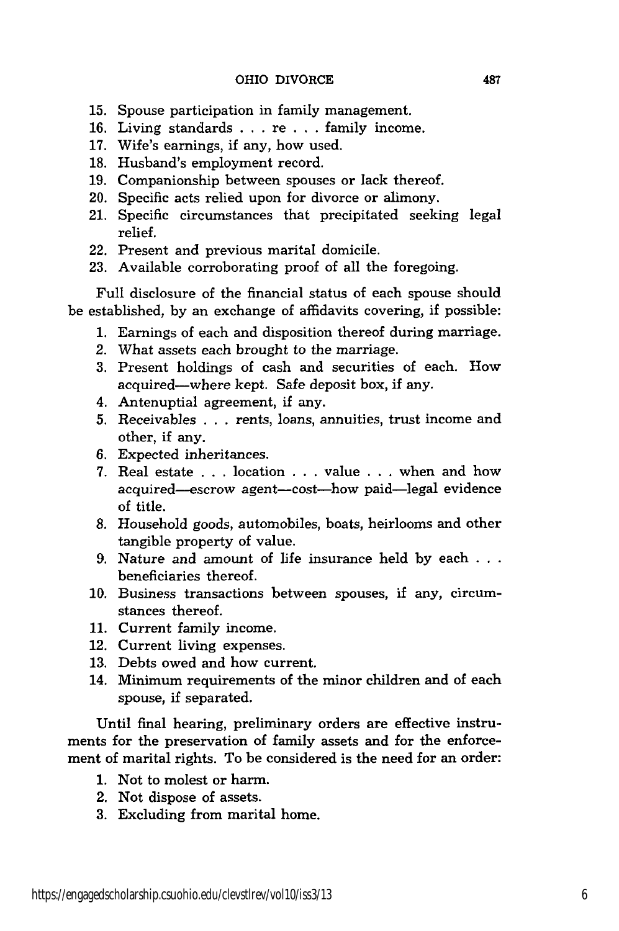- 15. Spouse participation in family management.
- 16. Living standards . . . re . . . family income.
- 17. Wife's earnings, if any, how used.
- 18. Husband's employment record.
- 19. Companionship between spouses or lack thereof.
- 20. Specific acts relied upon for divorce or alimony.
- 21. Specific circumstances that precipitated seeking legal relief.
- 22. Present and previous marital domicile.
- 23. Available corroborating proof of all the foregoing.

Full disclosure of the financial status of each spouse should be established, by an exchange of affidavits covering, if possible:

- 1. Earnings of each and disposition thereof during marriage.
- 2. What assets each brought to the marriage.
- 3. Present holdings of cash and securities of each. How acquired-where kept. Safe deposit box, if any.
- 4. Antenuptial agreement, if any.
- 5. Receivables . . . rents, loans, annuities, trust income and other, if any.
- 6. Expected inheritances.
- 7. Real estate . . . location . . . value . . . when and how acquired-escrow agent-cost-how paid-legal evidence of title.
- 8. Household goods, automobiles, boats, heirlooms and other tangible property of value.
- 9. Nature and amount of life insurance held by each . **. .** beneficiaries thereof.
- 10. Business transactions between spouses, if any, circumstances thereof.
- 11. Current family income.
- 12. Current living expenses.
- 13. Debts owed and how current.
- 14. Minimum requirements of the minor children and of each spouse, if separated.

Until final hearing, preliminary orders are effective instruments for the preservation of family assets and for the enforcement of marital rights. To be considered is the need for an order:

- 1. Not to molest or harm.
- 2. Not dispose of assets.
- 3. Excluding from marital home.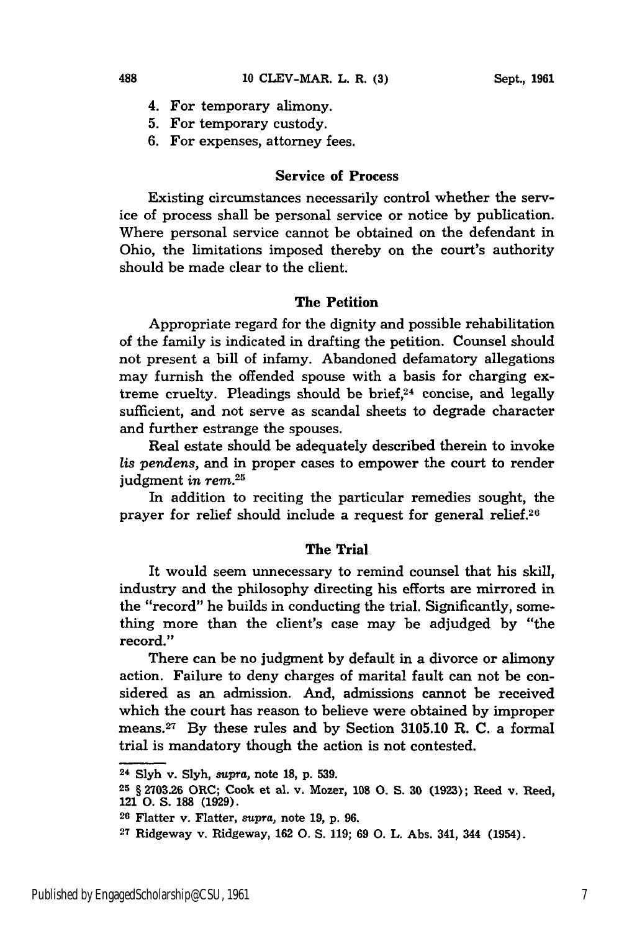- 4. For temporary alimony.
- **5.** For temporary custody.
- **6.** For expenses, attorney fees.

#### Service of Process

Existing circumstances necessarily control whether the service of process shall be personal service or notice **by** publication. Where personal service cannot be obtained on the defendant in Ohio, the limitations imposed thereby on the court's authority should be made clear to the client.

#### The Petition

Appropriate regard for the dignity and possible rehabilitation of the family is indicated in drafting the petition. Counsel should not present a bill of infamy. Abandoned defamatory allegations may furnish the offended spouse with a basis for charging extreme cruelty. Pleadings should be brief,<sup>24</sup> concise, and legally sufficient, and not serve as scandal sheets to degrade character and further estrange the spouses.

Real estate should be adequately described therein to invoke *lis pendens,* and in proper cases to empower the court to render judgment *in rem. 2 5*

In addition to reciting the particular remedies sought, the prayer for relief should include a request for general relief.26

#### The Trial

It would seem unnecessary to remind counsel that his skill, industry and the philosophy directing his efforts are mirrored in the "record" he builds in conducting the trial. Significantly, something more than the client's case may be adjudged by "the record."

There can be no judgment by default in a divorce or alimony action. Failure to deny charges of marital fault can not be considered as an admission. And, admissions cannot be received which the court has reason to believe were obtained by improper means.27 By these rules and by Section **3105.10** R. **C.** a formal trial is mandatory though the action is not contested.

**<sup>24</sup> Slyh** v. **Slyh,** supra, note **18, p. 539.**

**<sup>25</sup>**§ **2703.26** ORC; Cook et al. v. Mozer, **108 0. S. 30 (1923);** Reed v. Reed, 121 **0. S. 188 (1929).**

**<sup>26</sup>**Flatter v. Flatter, supra, note **19, p. 96.**

**<sup>27</sup>**Ridgeway v. Ridgeway, **162 0. S. 119; 69 0.** L. Abs. 341, 344 (1954).